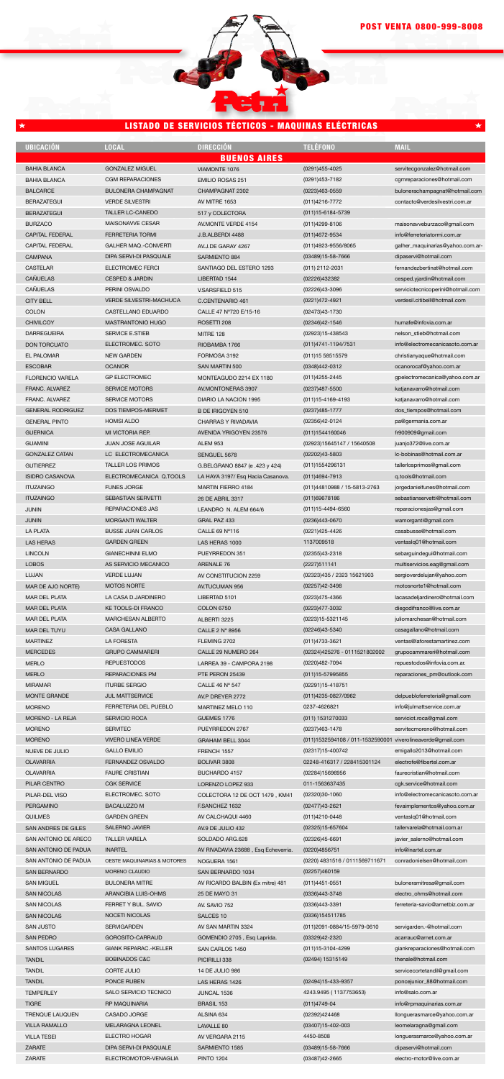| <b>UBICACIÓN</b>           | <b>LOCAL</b>                   | <b>DIRECCIÓN</b>                    | <b>TELÉFONO</b>                                             | <b>MAIL</b>                       |
|----------------------------|--------------------------------|-------------------------------------|-------------------------------------------------------------|-----------------------------------|
|                            |                                | <b>BUENOS AIRES</b>                 |                                                             |                                   |
| <b>BAHIA BLANCA</b>        | <b>GONZALEZ MIGUEL</b>         | VIAMONTE 1076                       | (0291)455-4025                                              | servitecgonzalez@hotmail.com      |
| <b>BAHIA BLANCA</b>        | <b>CGM REPARACIONES</b>        | <b>EMILIO ROSAS 251</b>             | (0291)453-7182                                              | cgmreparaciones@hotmail.com       |
| <b>BALCARCE</b>            | <b>BULONERA CHAMPAGNAT</b>     | CHAMPAGNAT 2302                     | (0223)463-0559                                              | bulonerachampagnat@hotmail.com    |
|                            |                                |                                     |                                                             |                                   |
| <b>BERAZATEGUI</b>         | <b>VERDE SILVESTRI</b>         | AV MITRE 1653                       | (011)4216-7772                                              | contacto@verdesilvestri.com.ar    |
| <b>BERAZATEGUI</b>         | TALLER LC-CANEDO               | 517 y COLECTORA                     | (011) 15-6184-5739                                          |                                   |
| <b>BURZACO</b>             | MAISONAVVE CESAR               | AV.MONTE VERDE 4154                 | (011)4299-8106                                              | maisonavveburzaco@gmail.com       |
| <b>CAPITAL FEDERAL</b>     | <b>FERRETERIA TORMI</b>        | J.B.ALBERDI 4488                    | (011)4672-9534                                              | info@ferreteriatormi.com.ar       |
|                            | <b>GALHER MAQ.-CONVERTI</b>    |                                     |                                                             |                                   |
| <b>CAPITAL FEDERAL</b>     |                                | AV.J.DE GARAY 4267                  | (011)4923-9556/8065                                         | galher_maquinarias@yahoo.com.ar-  |
| <b>CAMPANA</b>             | DIPA SERVI-DI PASQUALE         | SARMIENTO 884                       | (03489)15-58-7666                                           | dipaservi@hotmail.com             |
| <b>CASTELAR</b>            | <b>ELECTROMEC FERCI</b>        | SANTIAGO DEL ESTERO 1293            | (011) 2112-2031                                             | fernandezbertinat@hotmail.com     |
| CAÑUELAS                   | <b>CESPED &amp; JARDIN</b>     | LIBERTAD 1544                       | (02226)432382                                               | cesped.yjardin@hotmail.com        |
| CAÑUELAS                   | PERINI OSVALDO                 | V.SARSFIELD 515                     | (02226)43-3096                                              | serviciotecnicoperini@hotmail.com |
|                            |                                |                                     |                                                             |                                   |
| <b>CITY BELL</b>           | <b>VERDE SILVESTRI-MACHUCA</b> | C.CENTENARIO 461                    | (0221)472-4921                                              | verdesil.citibell@hotmail.com     |
| <b>COLON</b>               | CASTELLANO EDUARDO             | CALLE 47 Nº720 E/15-16              | (02473)43-1730                                              |                                   |
| <b>CHIVILCOY</b>           | <b>MASTRANTONIO HUGO</b>       | ROSETTI 208                         | (02346)42-1546                                              | humafe@infovia.com.ar             |
| <b>DARREGUEIRA</b>         | <b>SERVICE E.STIEB</b>         | MITRE 128                           | (02923)15-438543                                            | nelson_stieb@hotmail.com          |
|                            | ELECTROMEC, SOTO               |                                     |                                                             |                                   |
| <b>DON TORCUATO</b>        |                                | RIOBAMBA 1766                       | (011)4741-1194/7531                                         | info@electromecanicasoto.com.ar   |
| <b>EL PALOMAR</b>          | <b>NEW GARDEN</b>              | FORMOSA 3192                        | (011) 15 58515579                                           | christianyaque@hotmail.com        |
| <b>ESCOBAR</b>             | <b>OCANOR</b>                  | SAN MARTIN 500                      | (0348)442-0312                                              | ocanorocaf@yahoo.com.ar           |
| <b>FLORENCIO VARELA</b>    | <b>GP ELECTROMEC</b>           | MONTEAGUDO 2214 EX 1180             | (011)4255-2445                                              | gpelectromecanica@yahoo.com.ar    |
|                            |                                |                                     |                                                             |                                   |
| FRANC. ALVAREZ             | <b>SERVICE MOTORS</b>          | AV.MONTONERAS 3907                  | (0237)487-5500                                              | katjanavarro@hotmail.com          |
| FRANC. ALVAREZ             | <b>SERVICE MOTORS</b>          | DIARIO LA NACION 1995               | (011) 15-4169-4193                                          | katjanavarro@hotmail.com          |
| <b>GENERAL RODRIGUEZ</b>   | <b>DOS TIEMPOS-MERMET</b>      | <b>B DE IRIGOYEN 510</b>            | (0237)485-1777                                              | dos_tiempos@hotmail.com           |
| <b>GENERAL PINTO</b>       | <b>HOMSI ALDO</b>              | <b>CHARRAS Y RIVADAVIA</b>          | (02356)42-0124                                              | pa@germania.com.ar                |
|                            |                                |                                     |                                                             |                                   |
| <b>GUERNICA</b>            | MI VICTORIA REP.               | AVENIDA YRIGOYEN 23576              | (011)1544160046                                             | fr900909@gmail.com                |
| <b>GUAMINI</b>             | <b>JUAN JOSE AGUILAR</b>       | <b>ALEM 953</b>                     | (02923)15645147 / 15640508                                  | juanjo372@live.com.ar             |
| <b>GONZALEZ CATAN</b>      | LC ELECTROMECANICA             | SENGUEL 5678                        | (02202)43-5803                                              | lc-bobinas@hotmail.com.ar         |
| <b>GUTIERREZ</b>           | <b>TALLER LOS PRIMOS</b>       | G.BELGRANO 8847 (e .423 y 424)      | (011)1554296131                                             | tallerlosprimos@gmail.com         |
|                            |                                |                                     |                                                             |                                   |
| <b>ISIDRO CASANOVA</b>     | ELECTROMECANICA Q.TOOLS        | LA HAYA 3197/ Esq Hacia Casanova.   | (011)4694-7913                                              | q.tools@hotmail.com               |
| <b>ITUZAINGO</b>           | <b>FUNES JORGE</b>             | <b>MARTIN FIERRO 4184</b>           | (011)44810988 / 15-5813-2763                                | jorgedanielfunes@hotmail.com      |
| <b>ITUZAINGO</b>           | SEBASTIAN SERVETTI             | 26 DE ABRIL 3317                    | (011)69678186                                               | sebastianservetti@hotmail.com     |
| JUNIN                      | <b>REPARACIONES JAS</b>        | LEANDRO N. ALEM 664/6               | (011)15-4494-6560                                           | reparacionesjas@gmail.com         |
|                            |                                |                                     |                                                             |                                   |
| JUNIN                      | <b>MORGANTI WALTER</b>         | GRAL PAZ 433                        | (0236)443-0670                                              | wamorganti@gmail.com              |
| <b>LA PLATA</b>            | <b>BUSSE JUAN CARLOS</b>       | CALLE 69 N°116                      | (0221)425-4426                                              | casabusse@hotmail.com             |
| <b>LAS HERAS</b>           | <b>GARDEN GREEN</b>            | LAS HERAS 1000                      | 1137009518                                                  | ventaslq01@hotmail.com            |
| <b>LINCOLN</b>             | <b>GIANECHINNI ELMO</b>        | PUEYRREDON 351                      | (02355)43-2318                                              |                                   |
|                            |                                |                                     |                                                             | sebarguindegui@hotmail.com        |
| <b>LOBOS</b>               | AS SERVICIO MECANICO           | ARENALE 76                          | (2227)511141                                                | multiservicios.eag@gmail.com      |
| LUJAN                      | <b>VERDE LUJAN</b>             | AV CONSTITUCION 2259                | (02323)435 / 2323 15621903                                  | sergioverdelujan@yahoo.com        |
| MAR DE AJO NORTE)          | <b>MOTOS NORTE</b>             | AV.TUCUMAN 956                      | (02257)42-3498                                              | motosnorte1@hotmail.com           |
|                            |                                |                                     |                                                             |                                   |
| <b>MAR DEL PLATA</b>       | LA CASA D.JARDINERO            | LIBERTAD 5101                       | (0223)475-4366                                              | lacasadeljardinero@hotmail.com    |
| <b>MAR DEL PLATA</b>       | <b>KE TOOLS-DI FRANCO</b>      | <b>COLON 6750</b>                   | (0223)477-3032                                              | diegodifranco@live.com.ar         |
| <b>MAR DEL PLATA</b>       | MARCHESAN ALBERTO              | ALBERTI 3225                        | (0223)15-5321145                                            | juliomarchesan@hotmail.com        |
| MAR DEL TUYU               | <b>CASA GALLANO</b>            | CALLE 2 Nº 8956                     | (02246)43-5340                                              | casagallano@hotmail.com           |
|                            | <b>LA FORESTA</b>              |                                     |                                                             | ventas@laforestamartinez.com      |
| <b>MARTINEZ</b>            |                                | FLEMING 2702                        | (011)4733-3621                                              |                                   |
| <b>MERCEDES</b>            | <b>GRUPO CAMMARERI</b>         | CALLE 29 NUMERO 264                 | (02324)425276 - 0111521802002                               | grupocammareri@hotmail.com        |
| <b>MERLO</b>               | <b>REPUESTODOS</b>             | LARREA 39 - CAMPORA 2198            | (0220)482-7094                                              | repuestodos@infovia.com.ar.       |
| <b>MERLO</b>               | <b>REPARACIONES PM</b>         | PTE PERON 25439                     | (011) 15-57995855                                           | reparaciones_pm@outlook.com       |
|                            | <b>ITURBE SERGIO</b>           |                                     |                                                             |                                   |
| <b>MIRAMAR</b>             |                                | CALLE 46 Nº 547                     | (02291)15-418751                                            |                                   |
| <b>MONTE GRANDE</b>        | <b>JUL MATTSERVICE</b>         | AV.P DREYER 2772                    | (011)4235-0827/0962                                         | delpuebloferreteria@gmail.com     |
| <b>MORENO</b>              | FERRETERIA DEL PUEBLO          | MARTINEZ MELO 110                   | 0237-4626821                                                | info@julmattservice.com.ar        |
| MORENO - LA REJA           | SERVICIO ROCA                  | GUEMES 1776                         | (011) 1531270033                                            | serviciot.roca@gmail.com          |
| <b>MORENO</b>              | <b>SERVITEC</b>                | PUEYRREDON 2767                     | (0237)463-1478                                              | servitecmoreno@hotmail.com        |
|                            |                                |                                     |                                                             |                                   |
| <b>MORENO</b>              | <b>VIVERO LINEA VERDE</b>      | <b>GRAHAM BELL 3044</b>             | (011)1532594108 / 011-1532590001 viverolineaverde@gmail.com |                                   |
| NUEVE DE JULIO             | <b>GALLO EMILIO</b>            | FRENCH 1557                         | (02317)15-400742                                            | emigallo2013@hotmail.com          |
| <b>OLAVARRIA</b>           | FERNANDEZ OSVALDO              | BOLIVAR 3808                        | 02248-416317 / 228415301124                                 | electrofe@fibertel.com.ar         |
|                            | <b>FAURE CRISTIAN</b>          |                                     |                                                             | faurecristian@hotmail.com         |
| <b>OLAVARRIA</b>           |                                | BUCHARDO 4157                       | (02284)15696956                                             |                                   |
| PILAR CENTRO               | <b>CGK SERVICE</b>             | LORENZO LOPEZ 933                   | 011-1563637435                                              | cgk.service@hotmail.com           |
| PILAR-DEL VISO             | ELECTROMEC. SOTO               | COLECTORA 12 DE OCT 1479, KM41      | (02320)30-1060                                              | info@electromecanicasoto.com.ar   |
| <b>PERGAMINO</b>           | <b>BACALUZZO M</b>             | F.SANCHEZ 1632                      | (02477)43-2621                                              | fevaimplementos@yahoo.com.ar      |
| <b>QUILMES</b>             | <b>GARDEN GREEN</b>            | AV CALCHAQUI 4460                   | (011)4210-0448                                              | ventaslq01@hotmail.com            |
|                            |                                |                                     |                                                             |                                   |
| <b>SAN ANDRES DE GILES</b> | <b>SALERNO JAVIER</b>          | AV.9 DE JULIO 432                   | (02325)15-657604                                            | tallervarela@hotmail.com.ar       |
| SAN ANTONIO DE ARECO       | <b>TALLER VARELA</b>           | SOLDADO ARG.628                     | (02326)45-6691                                              | javier_salerno@hotmail.com        |
| SAN ANTONIO DE PADUA       | <b>INARTEL</b>                 | AV RIVADAVIA 23688, Esq Echeverria. | (0220)4856751                                               | info@inartel.com.ar               |
| SAN ANTONIO DE PADUA       | OESTE MAQUINARIAS & MOTORES    | NOGUERA 1561                        | (0220) 4831516 / 0111569711671                              | conradonielsen@hotmail.com        |
|                            |                                |                                     |                                                             |                                   |
| <b>SAN BERNARDO</b>        | MORENO CLAUDIO                 | SAN BERNARDO 1034                   | (02257)460159                                               |                                   |
| <b>SAN MIGUEL</b>          | <b>BULONERA MITRE</b>          | AV RICARDO BALBIN (Ex mitre) 481    | $(011)4451 - 0551$                                          | buloneramitresa@gmail.com         |
| <b>SAN NICOLAS</b>         | ARANCIBIA LUIS-OHMS            | 25 DE MAYO 31                       | (0336)443-3748                                              | electro_ohms@hotmail.com          |
| <b>SAN NICOLAS</b>         | FERRET Y BUL. SAVIO            | AV. SAVIO 752                       | (0336)443-3391                                              | ferreteria-savio@arnetbiz.com.ar  |
|                            |                                |                                     |                                                             |                                   |
| <b>SAN NICOLAS</b>         | NOCETI NICOLAS                 | SALCES 10                           | (0336)154511785                                             |                                   |
| <b>SAN JUSTO</b>           | <b>SERVIGARDEN</b>             | AV SAN MARTIN 3324                  | (011)2091-0884/15-5979-0610                                 | servigarden.-@hotmail.com         |
| <b>SAN PEDRO</b>           | GOROSITO-CARRAUD               | GOMENDIO 2705, Esq Laprida.         | (03329)42-2320                                              | acarrauc@arnet.com.ar             |
| <b>SANTOS LUGARES</b>      | GIANK REPARAC.-KELLER          | SAN CARLOS 1450                     | (011) 15-3104-4299                                          | giankreparaciones@hotmail.com     |
|                            |                                |                                     |                                                             |                                   |
| <b>TANDIL</b>              | <b>BOBINADOS C&amp;C</b>       | PICIRILLI 338                       | (02494) 15315149                                            | thenale@hotmail.com               |
| <b>TANDIL</b>              | CORTE JULIO                    | 14 DE JULIO 986                     |                                                             | servicecortetandil@gmail.com      |
| <b>TANDIL</b>              | PONCE RUBEN                    | LAS HERAS 1426                      | (02494)15-433-9357                                          | poncejunior_88@hotmail.com        |
| <b>TEMPERLEY</b>           | SALO SERVICIO TECNICO          | JUNCAL 1536                         | 4243.9495 (1137753653)                                      | info@salo.com.ar                  |
|                            |                                |                                     |                                                             |                                   |
| <b>TIGRE</b>               | RP MAQUINARIA                  | <b>BRASIL 153</b>                   | $(011)4749-04$                                              | info@rpmaquinarias.com.ar         |
| <b>TRENQUE LAUQUEN</b>     | CASADO JORGE                   | ALSINA 634                          | (02392)424468                                               | llonguerasmarce@yahoo.com.ar      |
| <b>VILLA RAMALLO</b>       | <b>MELARAGNA LEONEL</b>        | LAVALLE 80                          | (03407)15-402-003                                           | leomelaragna@gmail.com            |
| <b>VILLA TESEI</b>         | <b>ELECTRO HOGAR</b>           | AV VERGARA 2115                     | 4450-8508                                                   | longuerasmarce@yahoo.com.ar       |
|                            |                                |                                     |                                                             |                                   |
| ZARATE                     | DIPA SERVI-DI PASQUALE         | SARMIENTO 1585                      | (03489)15-58-7666                                           | dipaservi@hotmail.com             |
| ZARATE                     | ELECTROMOTOR-VENAGLIA          | <b>PINTO 1204</b>                   | (03487)42-2665                                              | electro-motor@live.com.ar         |

## LISTADO DE SERVICIOS TÉCTICOS - MAQUINAS ELÉCTRICAS

┶

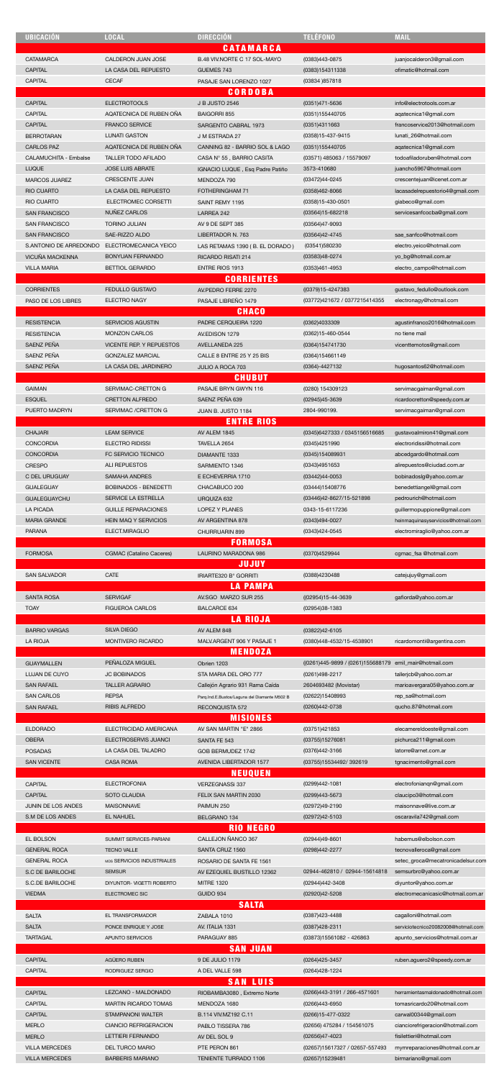| <b>UBICACIÓN</b>       | <b>LOCAL</b>                    | <b>DIRECCIÓN</b>                             | <b>TELÉFONO</b>                                        | <b>MAIL</b>                         |
|------------------------|---------------------------------|----------------------------------------------|--------------------------------------------------------|-------------------------------------|
|                        |                                 | <b>CATAMARCA</b>                             |                                                        |                                     |
| <b>CATAMARCA</b>       | CALDERON JUAN JOSE              | B.48 VIV.NORTE C 17 SOL-MAYO                 | (0383)443-0875                                         | juanjocalderon3@gmail.com           |
| <b>CAPITAL</b>         | LA CASA DEL REPUESTO            | GUEMES 743                                   | (0383)154311338                                        | ofimatic@hotmail.com                |
| <b>CAPITAL</b>         | <b>CECAF</b>                    | PASAJE SAN LORENZO 1027                      | (03834) 857818                                         |                                     |
|                        |                                 | <b>CORDOBA</b>                               |                                                        |                                     |
| <b>CAPITAL</b>         | <b>ELECTROTOOLS</b>             | <b>J B JUSTO 2546</b>                        | (0351)471-5636                                         | info@electrotools.com.ar            |
| <b>CAPITAL</b>         | AQATECNICA DE RUBEN OÑA         | <b>BAIGORRI 855</b>                          | (0351)155440705                                        | agatecnica1@gmail.com               |
| CAPITAL                | <b>FRANCO SERVICE</b>           | SARGENTO CABRAL 1973                         | (0351)4311663                                          | francoservice2013@hotmail.com       |
| <b>BERROTARAN</b>      | <b>LUNATI GASTON</b>            | J M ESTRADA 27                               | (0358)15-437-9415                                      | lunati_26@hotmail.com               |
| <b>CARLOS PAZ</b>      | AQATECNICA DE RUBEN OÑA         | CANNING 82 - BARRIO SOL & LAGO               | (0351)155440705                                        | agatecnica1@gmail.com               |
|                        | <b>TALLER TODO AFILADO</b>      |                                              | (03571) 485063 / 15579097                              | todoafiladoruben@hotmail.com        |
| CALAMUCHITA - Embalse  |                                 | CASA Nº 55, BARRIO CASITA                    |                                                        |                                     |
| <b>LUQUE</b>           | <b>JOSE LUIS ABRATE</b>         | IGNACIO LUQUE, Esq Padre Patiño              | 3573-410680                                            | juancho5967@hotmail.com             |
| MARCOS JUAREZ          | <b>CRESCENTE JUAN</b>           | MENDOZA 790                                  | (03472)44-0245                                         | crescentejuan@icenet.com.ar         |
| <b>RIO CUARTO</b>      | LA CASA DEL REPUESTO            | FOTHERINGHAM 71                              | (0358)462-8066                                         | lacasadelrepuestorio4@gmail.com     |
| <b>RIO CUARTO</b>      | ELECTROMEC CORSETTI             | SAINT REMY 1195                              | (0358)15-430-0501                                      | giabeco@gmail.com                   |
| <b>SAN FRANCISCO</b>   | NUNEZ CARLOS                    | LARREA 242                                   | (03564)15-682218                                       | servicesanfcocba@gmail.com          |
| <b>SAN FRANCISCO</b>   | <b>TORINO JULIAN</b>            | AV 9 DE SEPT 385                             | (03564)47-9093                                         |                                     |
| <b>SAN FRANCISCO</b>   | SAE-RIZZO ALDO                  | LIBERTADOR N. 763                            | (03564)42-4745                                         | sae_sanfco@hotmail.com              |
| S.ANTONIO DE ARREDONDO | ELECTROMECANICA YEICO           | LAS RETAMAS 1390 (B. EL DORADO)              | (03541)580230                                          | electro.yeico@hotmail.com           |
| VICUÑA MACKENNA        | <b>BONYUAN FERNANDO</b>         | RICARDO RISATI 214                           | (03583)48-0274                                         | yo_bg@hotmail.com.ar                |
| <b>VILLA MARIA</b>     | <b>BETTIOL GERARDO</b>          | <b>ENTRE RIOS 1913</b>                       | (0353)461-4953                                         | electro_campo@hotmail.com           |
|                        |                                 | <b>CORRIENTES</b>                            |                                                        |                                     |
| <b>CORRIENTES</b>      | <b>FEDULLO GUSTAVO</b>          | AV.PEDRO FERRE 2270                          | ((0379)15-4247383                                      | gustavo_fedullo@outlook.com         |
| PASO DE LOS LIBRES     | <b>ELECTRO NAGY</b>             | PASAJE LIBREÑO 1479                          | (03772)421672 / 0377215414355                          | electronagy@hotmail.com             |
|                        |                                 | <b>CHACO</b>                                 |                                                        |                                     |
| <b>RESISTENCIA</b>     | <b>SERVICIOS AGUSTIN</b>        | PADRE CERQUEIRA 1220                         | (0362)4033309                                          | agustinfranco2016@hotmail.com       |
| <b>RESISTENCIA</b>     | <b>MONZON CARLOS</b>            | AV.EDISON 1279                               | (0362)15-460-0544                                      | no tiene mail                       |
| SAENZ PEÑA             | VICENTE REP. Y REPUESTOS        | AVELLANEDA 225                               | (0364)154741730                                        | vicenttemotos@gmail.com             |
| SAENZ PEÑA             | <b>GONZALEZ MARCIAL</b>         | CALLE 8 ENTRE 25 Y 25 BIS                    | (0364)154661149                                        |                                     |
| SAENZ PEÑA             | LA CASA DEL JARDINERO           | JULIO A ROCA 703                             | (0364)-4427132                                         | hugosantos62@hotmail.com            |
|                        |                                 | <b>CHUBUT</b>                                |                                                        |                                     |
| <b>GAIMAN</b>          | SERVIMAC-CRETTON G              | PASAJE BRYN GWYN 116                         | (0280) 154309123                                       | servimacgaiman@gmail.com            |
| <b>ESQUEL</b>          | <b>CRETTON ALFREDO</b>          | SAENZ PEÑA 639                               | (02945)45-3639                                         | ricardocretton@speedy.com.ar        |
| PUERTO MADRYN          | SERVIMAC / CRETTON G            | JUAN B. JUSTO 1184                           | 2804-990199.                                           | servimacgaiman@gmail.com            |
|                        |                                 | <b>ENTRE RIOS</b>                            |                                                        |                                     |
| <b>CHAJARI</b>         | <b>LEAM SERVICE</b>             | AV ALEM 1845                                 | (0345)6427333 / 0345156516685                          | gustavoalmiron41@gmail.com          |
| <b>CONCORDIA</b>       | <b>ELECTRO RIDISSI</b>          | TAVELLA 2654                                 | (0345)4251990                                          | electroridissi@hotmail.com          |
|                        |                                 |                                              |                                                        |                                     |
| <b>CONCORDIA</b>       | FC SERVICIO TECNICO             | DIAMANTE 1333                                | (0345)154089931                                        | abcedgardo@hotmail.com              |
| <b>CRESPO</b>          | <b>ALI REPUESTOS</b>            | SARMIENTO 1346                               | (0343)4951653                                          | alirepuestos@ciudad.com.ar          |
| C DEL URUGUAY          | <b>SAMAHA ANDRES</b>            | E ECHEVERRIA 1710                            | (03442)44-0053                                         | bobinadoslg@yahoo.com.ar            |
| <b>GUALEGUAY</b>       | <b>BOBINADOS - BENEDETTI</b>    | CHACABUCO 200                                | (03444)15408776                                        | benedettiangel@gmail.com            |
| <b>GUALEGUAYCHU</b>    | SERVICE LA ESTRELLA             | URQUIZA 632                                  | (03446)42-8627/15-521898                               | pedrourich@hotmail.com              |
| LA PICADA              | <b>GUILLE REPARACIONES</b>      | LOPEZ Y PLANES                               | 0343-15-6117236                                        | guillermopuppione@gmail.com         |
| <b>MARIA GRANDE</b>    | <b>HEIN MAQ Y SERVICIOS</b>     | AV ARGENTINA 878                             | (0343)494-0027                                         | heinmaquinasyservicios@hotmail.com  |
| <b>PARANA</b>          | ELECT.MIRAGLIO                  | CHURRUARIN 899                               | (0343)424-0545                                         | electromiraglio@yahoo.com.ar        |
|                        |                                 | <b>FORMOSA</b>                               |                                                        |                                     |
|                        |                                 |                                              |                                                        |                                     |
| <b>FORMOSA</b>         | <b>CGMAC</b> (Catalino Caceres) | LAURINO MARADONA 986                         | (0370)4529944                                          | cgmac_fsa @hotmail.com              |
|                        |                                 | <b>JUJUY</b>                                 |                                                        |                                     |
| <b>SAN SALVADOR</b>    | <b>CATE</b>                     | IRIARTE320 B° GORRITI                        | (0388)4230488                                          | catejujuy@gmail.com                 |
|                        |                                 | <b>LA PAMPA</b>                              |                                                        |                                     |
| <b>SANTA ROSA</b>      | <b>SERVIGAF</b>                 | AV.SGO MARZO SUR 255                         | ((02954)15-44-3639                                     | gafiorda@yahoo.com.ar               |
| <b>TOAY</b>            | <b>FIGUEROA CARLOS</b>          | <b>BALCARCE 634</b>                          | (02954)38-1383                                         |                                     |
|                        |                                 | <b>LA RIOJA</b>                              |                                                        |                                     |
| <b>BARRIO VARGAS</b>   | <b>SILVA DIEGO</b>              | AV ALEM 848                                  | (03822)42-6105                                         |                                     |
| <b>LA RIOJA</b>        | MONTIVERO RICARDO               | MALV.ARGENT 906 Y PASAJE 1                   | (0380)448-4532/15-4538901                              | ricardomonti@argentina.com          |
|                        |                                 | <b>MENDOZA</b>                               |                                                        |                                     |
| <b>GUAYMALLEN</b>      | PEÑALOZA MIGUEL                 | Obrien 1203                                  | (0261)445-9899 / (0261)155688179 emil_mair@hotmail.com |                                     |
| LUJAN DE CUYO          | <b>JC BOBINADOS</b>             | STA MARIA DEL ORO 777                        | (0261)498-2217                                         | tallerjcb@yahoo.com.ar              |
| <b>SAN RAFAEL</b>      | <b>TALLER AGRARIO</b>           | Callejón Agrario 931 Rama Caída              | 2604693482 (Movistar)                                  | marioavergara05@yahoo.com.ar        |
| <b>SAN CARLOS</b>      | <b>REPSA</b>                    | Parq.Ind.E.Bustos/Laguna del Diamante M502 B | (02622)15408993                                        | rep_sa@hotmail.com                  |
| <b>SAN RAFAEL</b>      | <b>RIBIS ALFREDO</b>            | RECONQUISTA 572                              | (0260)442-0738                                         | qucho.87@hotmail.com                |
|                        |                                 | <b>MISIONES</b>                              |                                                        |                                     |
| <b>ELDORADO</b>        | ELECTRICIDAD AMERICANA          | AV SAN MARTIN "E" 2866                       | (03751)421853                                          | elecamereldoeste@gmail.com          |
| <b>OBERA</b>           | ELECTROSERVIS JUANCI            | SANTA FE 543                                 | (03755)15276081                                        | pichurca211@gmail.com               |
| <b>POSADAS</b>         | LA CASA DEL TALADRO             | GOB BERMUDEZ 1742                            | (0376)442-3166                                         | latorre@arnet.com.ar                |
| <b>SAN VICENTE</b>     | <b>CASA ROMA</b>                | AVENIDA LIBERTADOR 1577                      | (03755)15534492/392619                                 | tgnacimento@gmail.com               |
|                        |                                 | <b>NEUQUEN</b>                               |                                                        |                                     |
| <b>CAPITAL</b>         | <b>ELECTROFONIA</b>             | VERZEGNASSi 337                              | (0299)442-1081                                         | electrofonianqn@gmail.com           |
| <b>CAPITAL</b>         | SOTO CLAUDIA                    | FELIX SAN MARTIN 2030                        | (0299)443-5673                                         | claucipo3@hotmail.com               |
| JUNIN DE LOS ANDES     | <b>MAISONNAVE</b>               | PAIMUN 250                                   | (02972)49-2190                                         | maisonnave@live.com.ar              |
| S.M DE LOS ANDES       | EL NAHUEL                       |                                              |                                                        |                                     |
|                        |                                 | BELGRANO 134                                 | (02972)42-5103                                         | oscaravila742@gmail.com             |
|                        |                                 | <b>RIO NEGRO</b>                             |                                                        |                                     |
| EL BOLSON              | SUMMIT SERVICES-PARIANI         | CALLEJON ÑANCO 367                           | (02944)49-8601                                         | habemus@elbolson.com                |
| <b>GENERAL ROCA</b>    | <b>TECNO VALLE</b>              | SANTA CRUZ 1560                              | (0298)442-2277                                         | tecnovalleroca@gmail.com            |
| <b>GENERAL ROCA</b>    | MDS SERVICIOS INDUSTRIALES      | ROSARIO DE SANTA FE 1561                     |                                                        | setec_groca@mecatronicadelsur.com   |
| S.C DE BARILOCHE       | <b>SEMSUR</b>                   | AV EZEQUIEL BUSTILLO 12362                   | 02944-462810 / 02944-15614818                          | semsurbrc@yahoo.com.ar              |
| S.C.DE BARILOCHE       | DIYUNTOR- VIGETTI ROBERTO       | <b>MITRE 1320</b>                            | (02944)442-3408                                        | diyuntor@yahoo.com.ar               |
| <b>VIEDMA</b>          | ELECTROMEC SIC                  | GUIDO 934                                    | (02920)42-5208                                         | electromecanicasic@hotmail.com.ar   |
|                        |                                 | <b>SALTA</b>                                 |                                                        |                                     |
| <b>SALTA</b>           | EL TRANSFORMADOR                | ZABALA 1010                                  | (0387)423-4488                                         | cagalloni@hotmail.com               |
| <b>SALTA</b>           | PONCE ENRIQUE Y JOSE            | AV. ITALIA 1331                              | (0387)428-2311                                         | serviciotecnico20082008@hotmail.com |
| <b>TARTAGAL</b>        | APUNTO SERVICIOS                | PARAGUAY 885                                 | (03873)15561082 - 426863                               | apunto_servicios@hotmail.com.ar     |
|                        |                                 | <b>SAN JUAN</b>                              |                                                        |                                     |
| <b>CAPITAL</b>         | AGÜERO RUBEN                    | 9 DE JULIO 1179                              | (0264)425-3457                                         | ruben.aguero2@speedy.com.ar         |
| <b>CAPITAL</b>         | RODRIGUEZ SERGIO                | A DEL VALLE 598                              | (0264)428-1224                                         |                                     |
|                        |                                 | <b>SAN LUIS</b>                              |                                                        |                                     |
| CAPITAL                | LEZCANO - MALDONADO             | RIOBAMBA3080, Extremo Norte                  | (0266)443-3191 / 266-4571601                           | herramientasmaldonado@hotmail.com   |
| <b>CAPITAL</b>         | <b>MARTIN RICARDO TOMAS</b>     | MENDOZA 1680                                 | (0266)443-6950                                         | tomasricardo20@hotmail.com          |
| CAPITAL                | STAMPANONI WALTER               | B.114 VIV.MZ192 C.11                         | (0266)15-477-0322                                      | carwal00344@gmail.com               |
| <b>MERLO</b>           | <b>CIANCIO REFRIGERACION</b>    | PABLO TISSERA 786                            | (02656) 475284 / 154561075                             | cianciorefrigeracion@hotmail.com    |
| <b>MERLO</b>           | LETTIERI FERNANDO               | AV DEL SOL 9                                 | (02656)47-4023                                         | fisilettieri@hotmail.com            |
| <b>VILLA MERCEDES</b>  | <b>DEL TURCO MARIO</b>          | PTE PERON 861                                | (02657)15617327 / 02657-557493                         | mymreparaciones@hotmail.com.ar      |